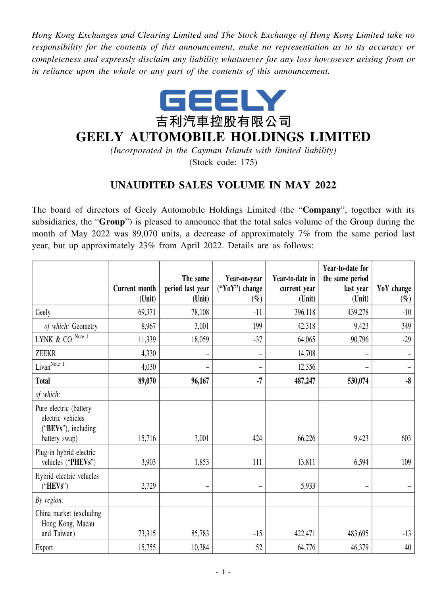*Hong Kong Exchanges and Clearing Limited and The Stock Exchange of Hong Kong Limited take no responsibility for the contents of this announcement, make no representation as to its accuracy or completeness and expressly disclaim any liability whatsoever for any loss howsoever arising from or in reliance upon the whole or any part of the contents of this announcement.*



## **GEELY AUTOMOBILE HOLDINGS LIMITED**

*(Incorporated in the Cayman Islands with limited liability)* (Stock code: 175)

## **UNAUDITED SALES VOLUME IN MAY 2022**

The board of directors of Geely Automobile Holdings Limited (the "**Company**", together with its subsidiaries, the "**Group**") is pleased to announce that the total sales volume of the Group during the month of May 2022 was 89,070 units, a decrease of approximately 7% from the same period last year, but up approximately 23% from April 2022. Details are as follows:

|                                                                    |                                | The same                   | Year-on-year               | Year-to-date in        | Year-to-date for<br>the same period |                      |
|--------------------------------------------------------------------|--------------------------------|----------------------------|----------------------------|------------------------|-------------------------------------|----------------------|
|                                                                    | <b>Current month</b><br>(Unit) | period last year<br>(Unit) | $("YoY")$ change<br>$(\%)$ | current year<br>(Unit) | last year<br>(Unit)                 | YoY change<br>$(\%)$ |
| Geely                                                              | 69,371                         | 78,108                     | $-11$                      | 396,118                | 439,278                             | $-10$                |
| of which: Geometry                                                 | 8,967                          | 3,001                      | 199                        | 42,318                 | 9,423                               | 349                  |
| Note 1<br>$LYNK\ \&\ CO$                                           | 11,339                         | 18,059                     | $-37$                      | 64,065                 | 90,796                              | $-29$                |
| <b>ZEEKR</b>                                                       | 4,330                          |                            | $\overline{\phantom{0}}$   | 14,708                 |                                     |                      |
| Livan <sup>Note 1</sup>                                            | 4,030                          | $\overline{\phantom{0}}$   | -                          | 12,356                 |                                     |                      |
| <b>Total</b>                                                       | 89,070                         | 96,167                     | $-7$                       | 487,247                | 530,074                             | $-8$                 |
| of which:                                                          |                                |                            |                            |                        |                                     |                      |
| Pure electric (battery<br>electric vehicles<br>("BEVs"), including |                                |                            |                            |                        |                                     |                      |
| battery swap)                                                      | 15,716                         | 3,001                      | 424                        | 66,226                 | 9,423                               | 603                  |
| Plug-in hybrid electric<br>vehicles ("PHEVs")                      | 3,903                          | 1,853                      | 111                        | 13,811                 | 6,594                               | 109                  |
| Hybrid electric vehicles<br>("HEVs")                               | 2,729                          | $\overline{\phantom{m}}$   | -                          | 5,933                  |                                     |                      |
| By region:                                                         |                                |                            |                            |                        |                                     |                      |
| China market (excluding<br>Hong Kong, Macau                        |                                |                            |                            |                        |                                     |                      |
| and Taiwan)                                                        | 73,315                         | 85,783                     | $-15$                      | 422,471                | 483,695                             | $-13$                |
| Export                                                             | 15,755                         | 10,384                     | 52                         | 64,776                 | 46,379                              | 40                   |